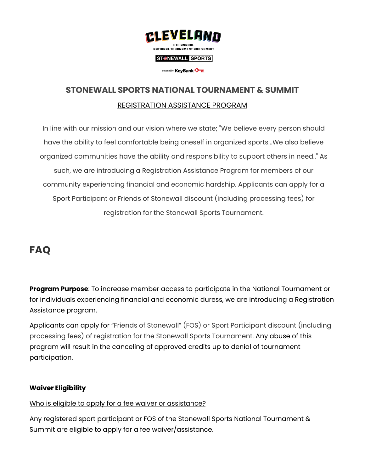

#### ST<sup>O</sup>NEWALL SPORTS

presented by KeyBank On

# **STONEWALL SPORTS NATIONAL TOURNAMENT & SUMMIT** REGISTRATION ASSISTANCE PROGRAM

In line with our mission and our vision where we state; "We believe every person should have the ability to feel comfortable being oneself in organized sports...We also believe organized communities have the ability and responsibility to support others in need.." As such, we are introducing a Registration Assistance Program for members of our community experiencing financial and economic hardship. Applicants can apply for a Sport Participant or Friends of Stonewall discount (including processing fees) for registration for the Stonewall Sports Tournament.

## **FAQ**

**Program Purpose**: To increase member access to participate in the National Tournament or for individuals experiencing financial and economic duress, we are introducing a Registration Assistance program.

Applicants can apply for "Friends of Stonewall" (FOS) or Sport Participant discount (including processing fees) of registration for the Stonewall Sports Tournament. Any abuse of this program will result in the canceling of approved credits up to denial of tournament participation.

## **Waiver Eligibility**

## Who is eligible to apply for a fee waiver or assistance?

Any registered sport participant or FOS of the Stonewall Sports National Tournament & Summit are eligible to apply for a fee waiver/assistance.